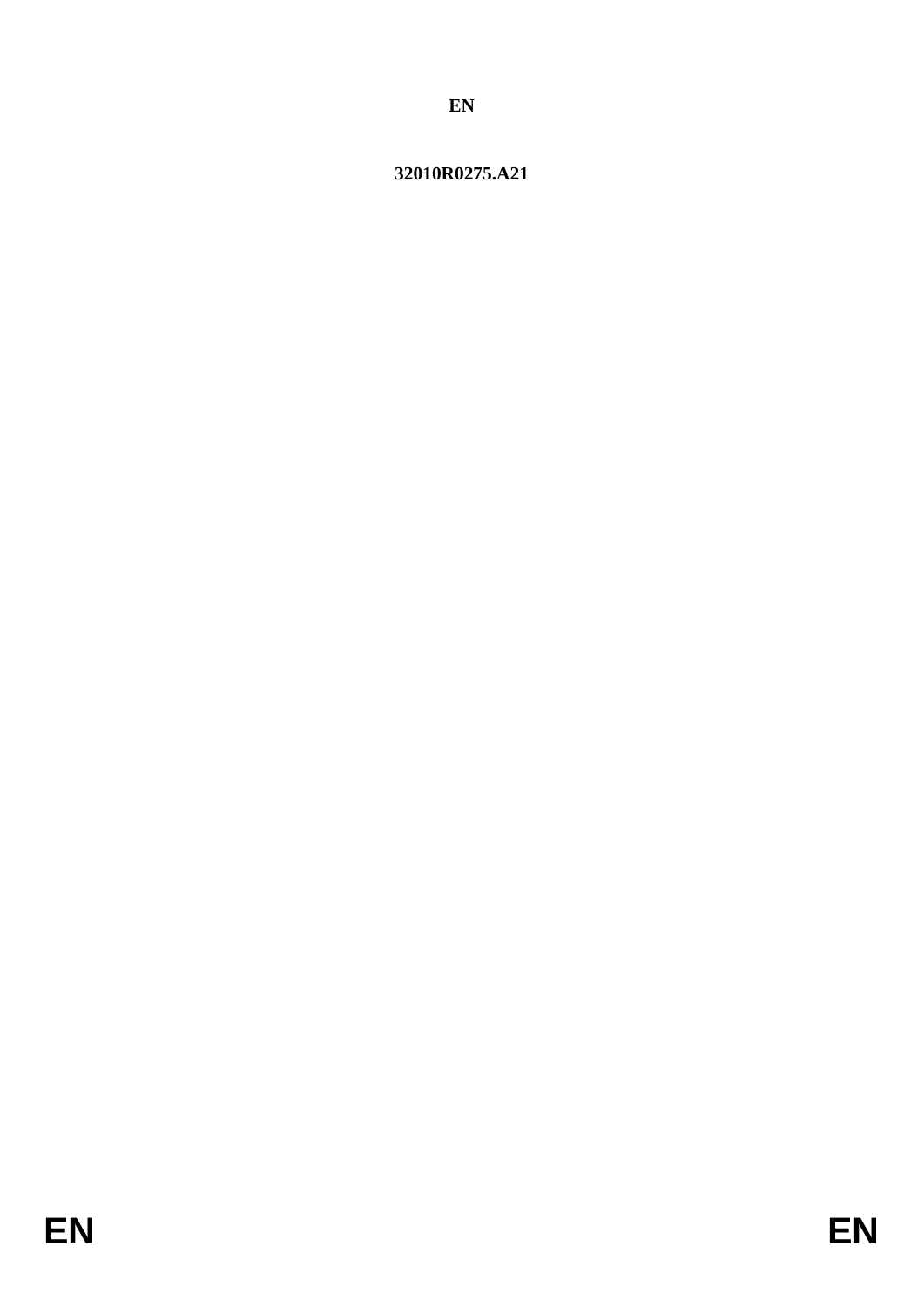# 32010R0275.A21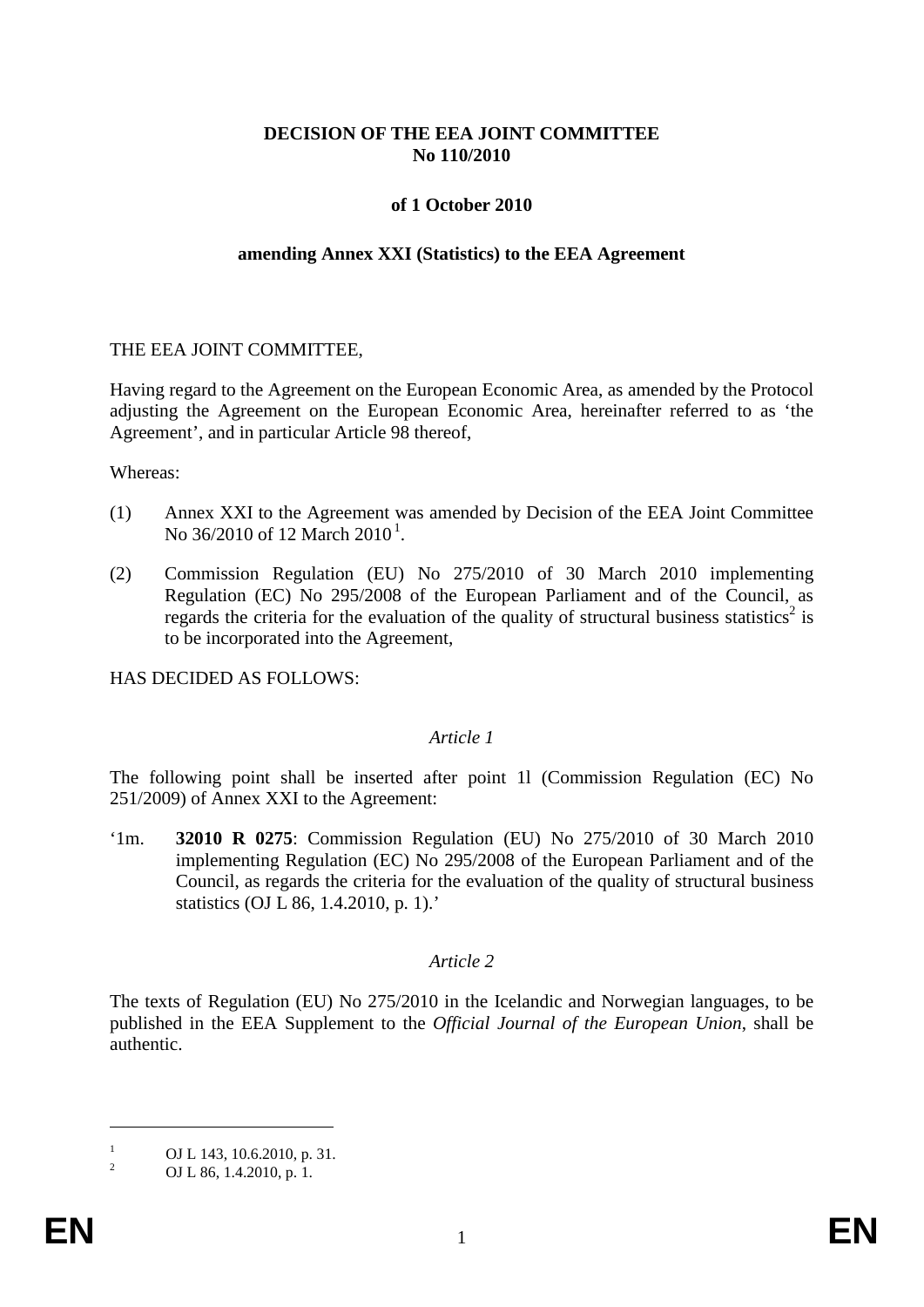## **DECISION OF THE EEA JOINT COMMITTEE No 110/2010**

## **of 1 October 2010**

#### **amending Annex XXI (Statistics) to the EEA Agreement**

#### THE EEA JOINT COMMITTEE,

Having regard to the Agreement on the European Economic Area, as amended by the Protocol adjusting the Agreement on the European Economic Area, hereinafter referred to as 'the Agreement', and in particular Article 98 thereof,

Whereas:

- (1) Annex XXI to the Agreement was amended by Decision of the EEA Joint Committee No 36/20[1](#page-1-0)0 of 12 March 2010<sup>1</sup>.
- (2) Commission Regulation (EU) No 275/2010 of 30 March 2010 implementing Regulation (EC) No 295/2008 of the European Parliament and of the Council, as regards the criteria for the evaluation of the quality of structural business statistics<sup>2</sup> is to be incorporated into the Agreement,

HAS DECIDED AS FOLLOWS:

## *Article 1*

The following point shall be inserted after point 1l (Commission Regulation (EC) No 251/2009) of Annex XXI to the Agreement:

'1m. **32010 R 0275**: Commission Regulation (EU) No 275/2010 of 30 March 2010 implementing Regulation (EC) No 295/2008 of the European Parliament and of the Council, as regards the criteria for the evaluation of the quality of structural business statistics (OJ L 86, 1.4.2010, p. 1).'

## *Article 2*

The texts of Regulation (EU) No 275/2010 in the Icelandic and Norwegian languages, to be published in the EEA Supplement to the *Official Journal of the European Union*, shall be authentic.

 $\overline{a}$ 

<span id="page-1-0"></span><sup>&</sup>lt;sup>1</sup> OJ L 143, 10.6.2010, p. 31.<br>OJ L 86, 1.4.2010, p. 1.